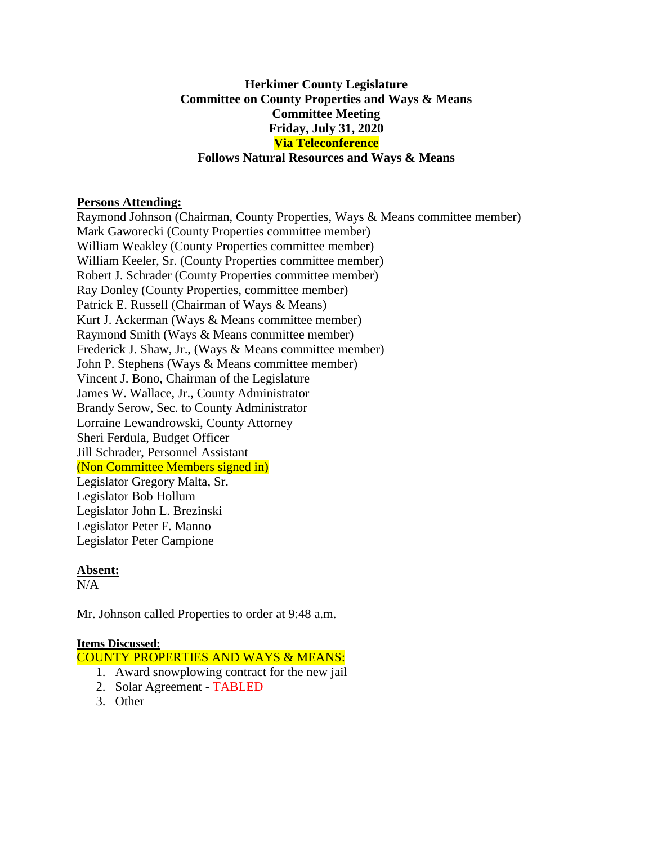## **Herkimer County Legislature Committee on County Properties and Ways & Means Committee Meeting Friday, July 31, 2020 Via Teleconference Follows Natural Resources and Ways & Means**

#### **Persons Attending:**

Raymond Johnson (Chairman, County Properties, Ways & Means committee member) Mark Gaworecki (County Properties committee member) William Weakley (County Properties committee member) William Keeler, Sr. (County Properties committee member) Robert J. Schrader (County Properties committee member) Ray Donley (County Properties, committee member) Patrick E. Russell (Chairman of Ways & Means) Kurt J. Ackerman (Ways & Means committee member) Raymond Smith (Ways & Means committee member) Frederick J. Shaw, Jr., (Ways & Means committee member) John P. Stephens (Ways & Means committee member) Vincent J. Bono, Chairman of the Legislature James W. Wallace, Jr., County Administrator Brandy Serow, Sec. to County Administrator Lorraine Lewandrowski, County Attorney Sheri Ferdula, Budget Officer Jill Schrader, Personnel Assistant (Non Committee Members signed in) Legislator Gregory Malta, Sr. Legislator Bob Hollum Legislator John L. Brezinski Legislator Peter F. Manno Legislator Peter Campione

### **Absent:**

 $N/A$ 

Mr. Johnson called Properties to order at 9:48 a.m.

#### **Items Discussed:**

COUNTY PROPERTIES AND WAYS & MEANS:

- 1. Award snowplowing contract for the new jail
- 2. Solar Agreement TABLED
- 3. Other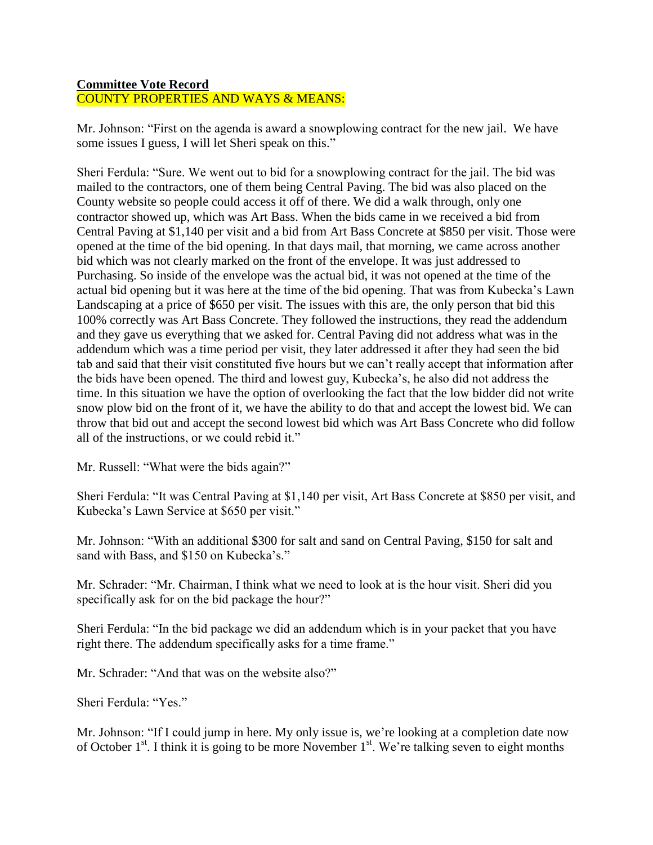# **Committee Vote Record**

COUNTY PROPERTIES AND WAYS & MEANS:

Mr. Johnson: "First on the agenda is award a snowplowing contract for the new jail. We have some issues I guess, I will let Sheri speak on this."

Sheri Ferdula: "Sure. We went out to bid for a snowplowing contract for the jail. The bid was mailed to the contractors, one of them being Central Paving. The bid was also placed on the County website so people could access it off of there. We did a walk through, only one contractor showed up, which was Art Bass. When the bids came in we received a bid from Central Paving at \$1,140 per visit and a bid from Art Bass Concrete at \$850 per visit. Those were opened at the time of the bid opening. In that days mail, that morning, we came across another bid which was not clearly marked on the front of the envelope. It was just addressed to Purchasing. So inside of the envelope was the actual bid, it was not opened at the time of the actual bid opening but it was here at the time of the bid opening. That was from Kubecka's Lawn Landscaping at a price of \$650 per visit. The issues with this are, the only person that bid this 100% correctly was Art Bass Concrete. They followed the instructions, they read the addendum and they gave us everything that we asked for. Central Paving did not address what was in the addendum which was a time period per visit, they later addressed it after they had seen the bid tab and said that their visit constituted five hours but we can't really accept that information after the bids have been opened. The third and lowest guy, Kubecka's, he also did not address the time. In this situation we have the option of overlooking the fact that the low bidder did not write snow plow bid on the front of it, we have the ability to do that and accept the lowest bid. We can throw that bid out and accept the second lowest bid which was Art Bass Concrete who did follow all of the instructions, or we could rebid it."

Mr. Russell: "What were the bids again?"

Sheri Ferdula: "It was Central Paving at \$1,140 per visit, Art Bass Concrete at \$850 per visit, and Kubecka's Lawn Service at \$650 per visit."

Mr. Johnson: "With an additional \$300 for salt and sand on Central Paving, \$150 for salt and sand with Bass, and \$150 on Kubecka's."

Mr. Schrader: "Mr. Chairman, I think what we need to look at is the hour visit. Sheri did you specifically ask for on the bid package the hour?"

Sheri Ferdula: "In the bid package we did an addendum which is in your packet that you have right there. The addendum specifically asks for a time frame."

Mr. Schrader: "And that was on the website also?"

Sheri Ferdula: "Yes."

Mr. Johnson: "If I could jump in here. My only issue is, we're looking at a completion date now of October  $1<sup>st</sup>$ . I think it is going to be more November  $1<sup>st</sup>$ . We're talking seven to eight months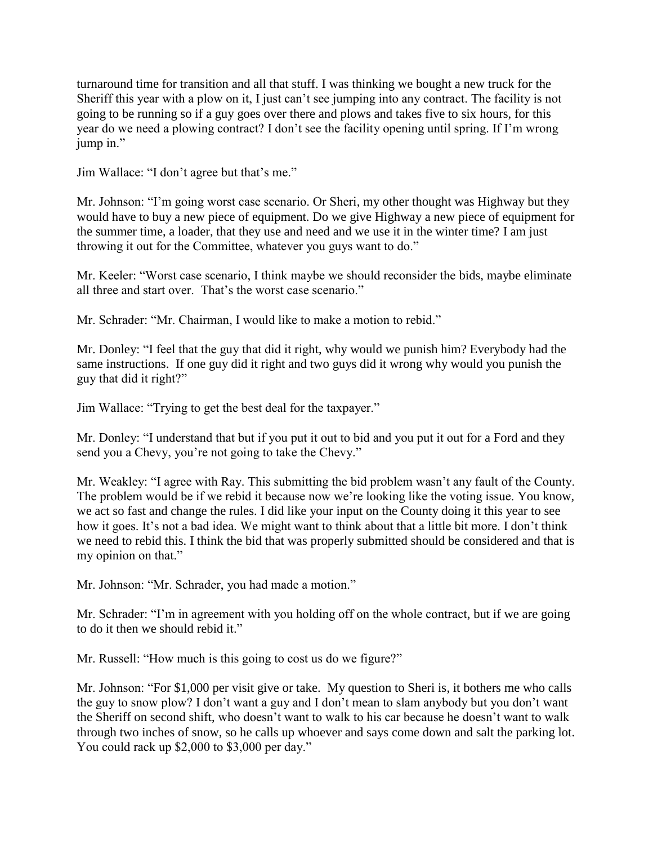turnaround time for transition and all that stuff. I was thinking we bought a new truck for the Sheriff this year with a plow on it, I just can't see jumping into any contract. The facility is not going to be running so if a guy goes over there and plows and takes five to six hours, for this year do we need a plowing contract? I don't see the facility opening until spring. If I'm wrong jump in."

Jim Wallace: "I don't agree but that's me."

Mr. Johnson: "I'm going worst case scenario. Or Sheri, my other thought was Highway but they would have to buy a new piece of equipment. Do we give Highway a new piece of equipment for the summer time, a loader, that they use and need and we use it in the winter time? I am just throwing it out for the Committee, whatever you guys want to do."

Mr. Keeler: "Worst case scenario, I think maybe we should reconsider the bids, maybe eliminate all three and start over. That's the worst case scenario."

Mr. Schrader: "Mr. Chairman, I would like to make a motion to rebid."

Mr. Donley: "I feel that the guy that did it right, why would we punish him? Everybody had the same instructions. If one guy did it right and two guys did it wrong why would you punish the guy that did it right?"

Jim Wallace: "Trying to get the best deal for the taxpayer."

Mr. Donley: "I understand that but if you put it out to bid and you put it out for a Ford and they send you a Chevy, you're not going to take the Chevy."

Mr. Weakley: "I agree with Ray. This submitting the bid problem wasn't any fault of the County. The problem would be if we rebid it because now we're looking like the voting issue. You know, we act so fast and change the rules. I did like your input on the County doing it this year to see how it goes. It's not a bad idea. We might want to think about that a little bit more. I don't think we need to rebid this. I think the bid that was properly submitted should be considered and that is my opinion on that."

Mr. Johnson: "Mr. Schrader, you had made a motion."

Mr. Schrader: "I'm in agreement with you holding off on the whole contract, but if we are going to do it then we should rebid it."

Mr. Russell: "How much is this going to cost us do we figure?"

Mr. Johnson: "For \$1,000 per visit give or take. My question to Sheri is, it bothers me who calls the guy to snow plow? I don't want a guy and I don't mean to slam anybody but you don't want the Sheriff on second shift, who doesn't want to walk to his car because he doesn't want to walk through two inches of snow, so he calls up whoever and says come down and salt the parking lot. You could rack up \$2,000 to \$3,000 per day."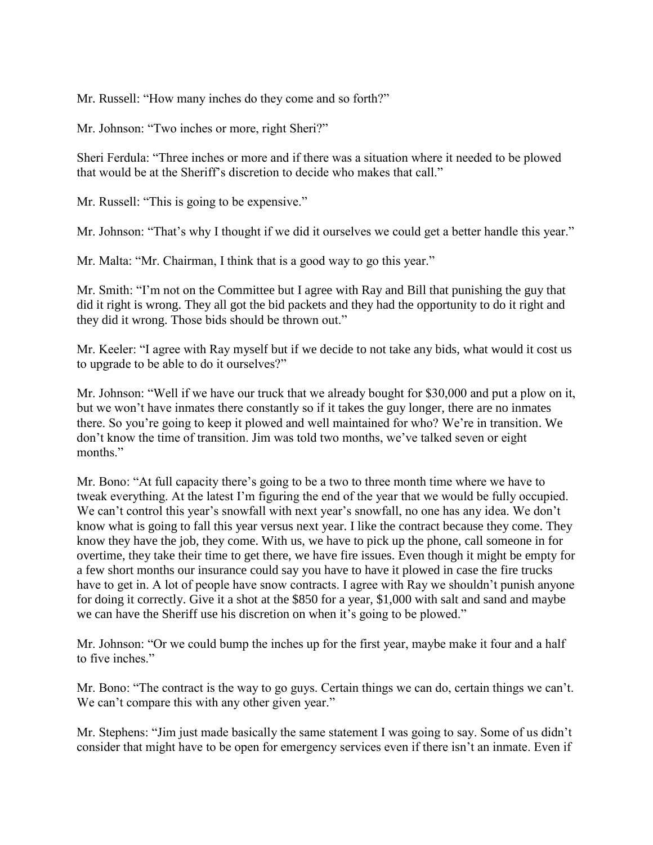Mr. Russell: "How many inches do they come and so forth?"

Mr. Johnson: "Two inches or more, right Sheri?"

Sheri Ferdula: "Three inches or more and if there was a situation where it needed to be plowed that would be at the Sheriff's discretion to decide who makes that call."

Mr. Russell: "This is going to be expensive."

Mr. Johnson: "That's why I thought if we did it ourselves we could get a better handle this year."

Mr. Malta: "Mr. Chairman, I think that is a good way to go this year."

Mr. Smith: "I'm not on the Committee but I agree with Ray and Bill that punishing the guy that did it right is wrong. They all got the bid packets and they had the opportunity to do it right and they did it wrong. Those bids should be thrown out."

Mr. Keeler: "I agree with Ray myself but if we decide to not take any bids, what would it cost us to upgrade to be able to do it ourselves?"

Mr. Johnson: "Well if we have our truck that we already bought for \$30,000 and put a plow on it, but we won't have inmates there constantly so if it takes the guy longer, there are no inmates there. So you're going to keep it plowed and well maintained for who? We're in transition. We don't know the time of transition. Jim was told two months, we've talked seven or eight months."

Mr. Bono: "At full capacity there's going to be a two to three month time where we have to tweak everything. At the latest I'm figuring the end of the year that we would be fully occupied. We can't control this year's snowfall with next year's snowfall, no one has any idea. We don't know what is going to fall this year versus next year. I like the contract because they come. They know they have the job, they come. With us, we have to pick up the phone, call someone in for overtime, they take their time to get there, we have fire issues. Even though it might be empty for a few short months our insurance could say you have to have it plowed in case the fire trucks have to get in. A lot of people have snow contracts. I agree with Ray we shouldn't punish anyone for doing it correctly. Give it a shot at the \$850 for a year, \$1,000 with salt and sand and maybe we can have the Sheriff use his discretion on when it's going to be plowed."

Mr. Johnson: "Or we could bump the inches up for the first year, maybe make it four and a half to five inches."

Mr. Bono: "The contract is the way to go guys. Certain things we can do, certain things we can't. We can't compare this with any other given year."

Mr. Stephens: "Jim just made basically the same statement I was going to say. Some of us didn't consider that might have to be open for emergency services even if there isn't an inmate. Even if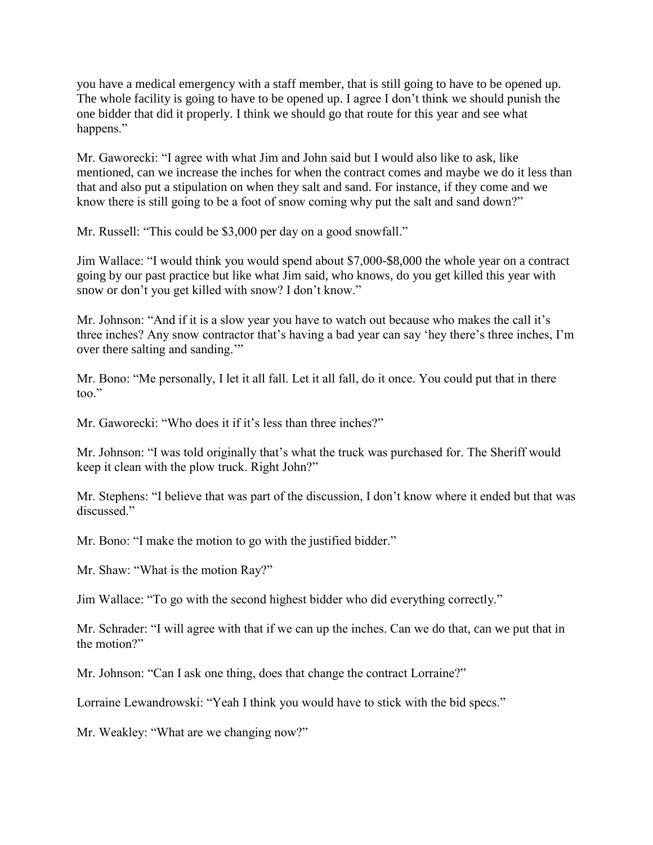you have a medical emergency with a staff member, that is still going to have to be opened up. The whole facility is going to have to be opened up. I agree I don't think we should punish the one bidder that did it properly. I think we should go that route for this year and see what happens."

Mr. Gaworecki: "I agree with what Jim and John said but I would also like to ask, like mentioned, can we increase the inches for when the contract comes and maybe we do it less than that and also put a stipulation on when they salt and sand. For instance, if they come and we know there is still going to be a foot of snow coming why put the salt and sand down?"

Mr. Russell: "This could be \$3,000 per day on a good snowfall."

Jim Wallace: "I would think you would spend about \$7,000-\$8,000 the whole year on a contract going by our past practice but like what Jim said, who knows, do you get killed this year with snow or don't you get killed with snow? I don't know."

Mr. Johnson: "And if it is a slow year you have to watch out because who makes the call it's three inches? Any snow contractor that's having a bad year can say 'hey there's three inches, I'm over there salting and sanding.'"

Mr. Bono: "Me personally, I let it all fall. Let it all fall, do it once. You could put that in there too."

Mr. Gaworecki: "Who does it if it's less than three inches?"

Mr. Johnson: "I was told originally that's what the truck was purchased for. The Sheriff would keep it clean with the plow truck. Right John?"

Mr. Stephens: "I believe that was part of the discussion, I don't know where it ended but that was discussed."

Mr. Bono: "I make the motion to go with the justified bidder."

Mr. Shaw: "What is the motion Ray?"

Jim Wallace: "To go with the second highest bidder who did everything correctly."

Mr. Schrader: "I will agree with that if we can up the inches. Can we do that, can we put that in the motion?"

Mr. Johnson: "Can I ask one thing, does that change the contract Lorraine?"

Lorraine Lewandrowski: "Yeah I think you would have to stick with the bid specs."

Mr. Weakley: "What are we changing now?"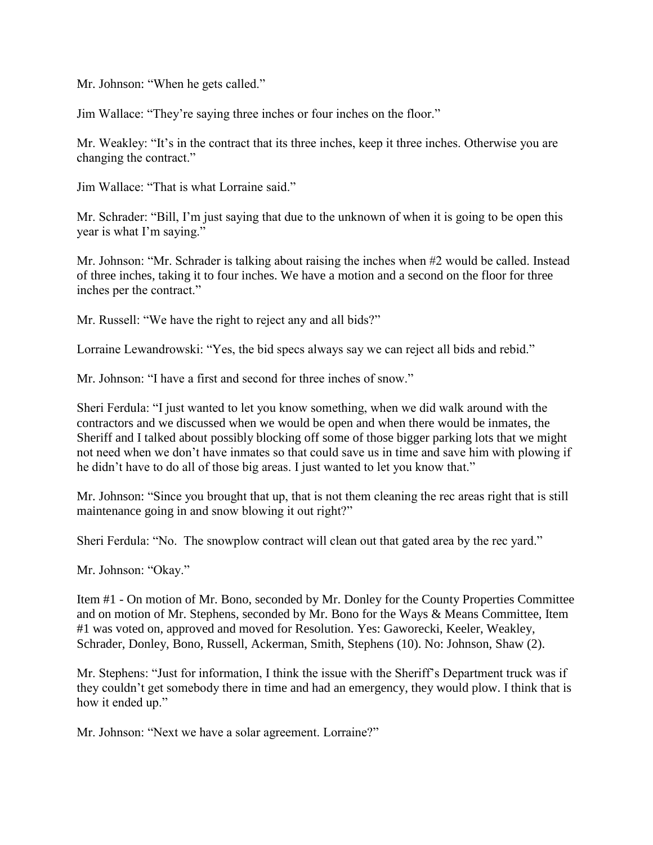Mr. Johnson: "When he gets called."

Jim Wallace: "They're saying three inches or four inches on the floor."

Mr. Weakley: "It's in the contract that its three inches, keep it three inches. Otherwise you are changing the contract."

Jim Wallace: "That is what Lorraine said."

Mr. Schrader: "Bill, I'm just saying that due to the unknown of when it is going to be open this year is what I'm saying."

Mr. Johnson: "Mr. Schrader is talking about raising the inches when #2 would be called. Instead of three inches, taking it to four inches. We have a motion and a second on the floor for three inches per the contract."

Mr. Russell: "We have the right to reject any and all bids?"

Lorraine Lewandrowski: "Yes, the bid specs always say we can reject all bids and rebid."

Mr. Johnson: "I have a first and second for three inches of snow."

Sheri Ferdula: "I just wanted to let you know something, when we did walk around with the contractors and we discussed when we would be open and when there would be inmates, the Sheriff and I talked about possibly blocking off some of those bigger parking lots that we might not need when we don't have inmates so that could save us in time and save him with plowing if he didn't have to do all of those big areas. I just wanted to let you know that."

Mr. Johnson: "Since you brought that up, that is not them cleaning the rec areas right that is still maintenance going in and snow blowing it out right?"

Sheri Ferdula: "No. The snowplow contract will clean out that gated area by the rec yard."

Mr. Johnson: "Okay."

Item #1 - On motion of Mr. Bono, seconded by Mr. Donley for the County Properties Committee and on motion of Mr. Stephens, seconded by Mr. Bono for the Ways & Means Committee, Item #1 was voted on, approved and moved for Resolution. Yes: Gaworecki, Keeler, Weakley, Schrader, Donley, Bono, Russell, Ackerman, Smith, Stephens (10). No: Johnson, Shaw (2).

Mr. Stephens: "Just for information, I think the issue with the Sheriff's Department truck was if they couldn't get somebody there in time and had an emergency, they would plow. I think that is how it ended up."

Mr. Johnson: "Next we have a solar agreement. Lorraine?"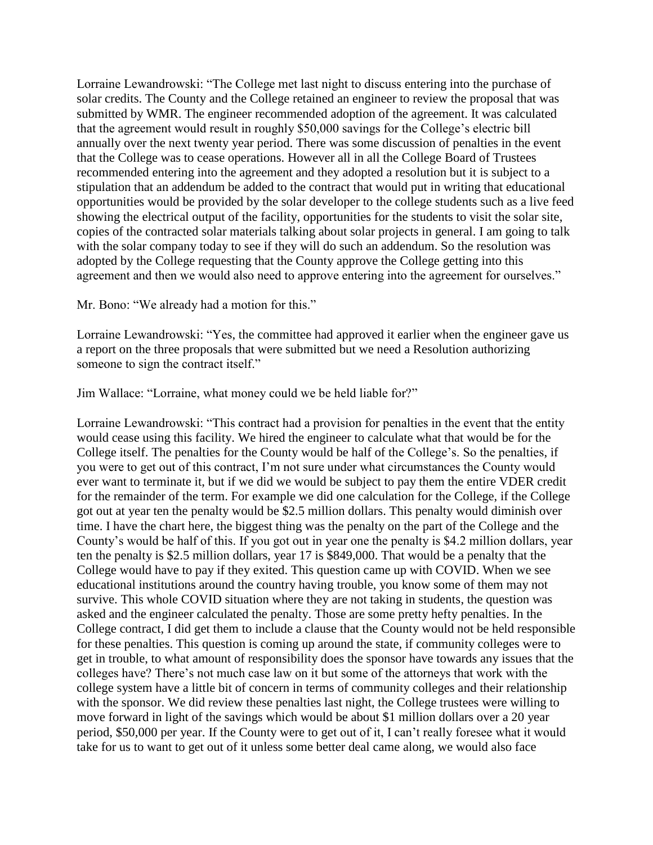Lorraine Lewandrowski: "The College met last night to discuss entering into the purchase of solar credits. The County and the College retained an engineer to review the proposal that was submitted by WMR. The engineer recommended adoption of the agreement. It was calculated that the agreement would result in roughly \$50,000 savings for the College's electric bill annually over the next twenty year period. There was some discussion of penalties in the event that the College was to cease operations. However all in all the College Board of Trustees recommended entering into the agreement and they adopted a resolution but it is subject to a stipulation that an addendum be added to the contract that would put in writing that educational opportunities would be provided by the solar developer to the college students such as a live feed showing the electrical output of the facility, opportunities for the students to visit the solar site, copies of the contracted solar materials talking about solar projects in general. I am going to talk with the solar company today to see if they will do such an addendum. So the resolution was adopted by the College requesting that the County approve the College getting into this agreement and then we would also need to approve entering into the agreement for ourselves."

Mr. Bono: "We already had a motion for this."

Lorraine Lewandrowski: "Yes, the committee had approved it earlier when the engineer gave us a report on the three proposals that were submitted but we need a Resolution authorizing someone to sign the contract itself."

Jim Wallace: "Lorraine, what money could we be held liable for?"

Lorraine Lewandrowski: "This contract had a provision for penalties in the event that the entity would cease using this facility. We hired the engineer to calculate what that would be for the College itself. The penalties for the County would be half of the College's. So the penalties, if you were to get out of this contract, I'm not sure under what circumstances the County would ever want to terminate it, but if we did we would be subject to pay them the entire VDER credit for the remainder of the term. For example we did one calculation for the College, if the College got out at year ten the penalty would be \$2.5 million dollars. This penalty would diminish over time. I have the chart here, the biggest thing was the penalty on the part of the College and the County's would be half of this. If you got out in year one the penalty is \$4.2 million dollars, year ten the penalty is \$2.5 million dollars, year 17 is \$849,000. That would be a penalty that the College would have to pay if they exited. This question came up with COVID. When we see educational institutions around the country having trouble, you know some of them may not survive. This whole COVID situation where they are not taking in students, the question was asked and the engineer calculated the penalty. Those are some pretty hefty penalties. In the College contract, I did get them to include a clause that the County would not be held responsible for these penalties. This question is coming up around the state, if community colleges were to get in trouble, to what amount of responsibility does the sponsor have towards any issues that the colleges have? There's not much case law on it but some of the attorneys that work with the college system have a little bit of concern in terms of community colleges and their relationship with the sponsor. We did review these penalties last night, the College trustees were willing to move forward in light of the savings which would be about \$1 million dollars over a 20 year period, \$50,000 per year. If the County were to get out of it, I can't really foresee what it would take for us to want to get out of it unless some better deal came along, we would also face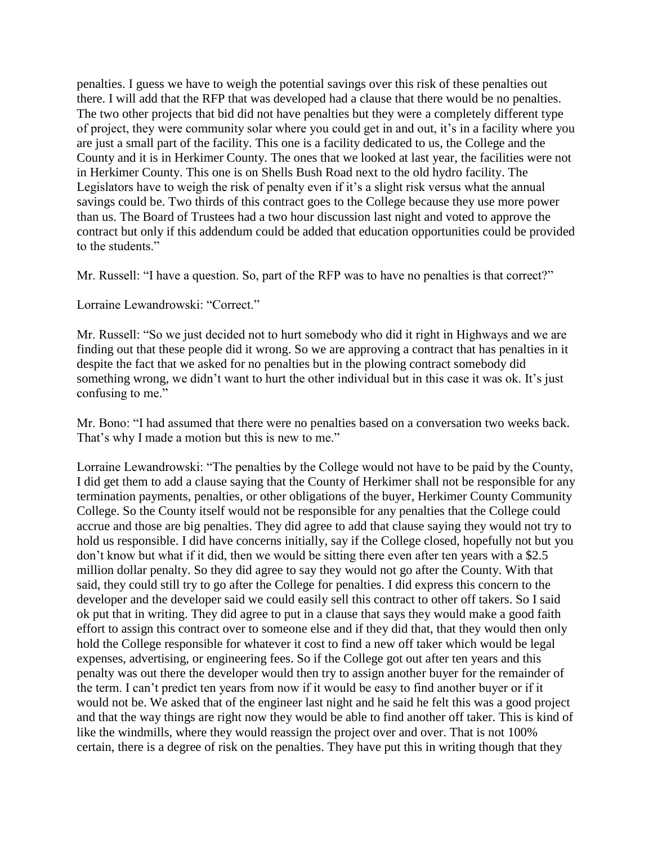penalties. I guess we have to weigh the potential savings over this risk of these penalties out there. I will add that the RFP that was developed had a clause that there would be no penalties. The two other projects that bid did not have penalties but they were a completely different type of project, they were community solar where you could get in and out, it's in a facility where you are just a small part of the facility. This one is a facility dedicated to us, the College and the County and it is in Herkimer County. The ones that we looked at last year, the facilities were not in Herkimer County. This one is on Shells Bush Road next to the old hydro facility. The Legislators have to weigh the risk of penalty even if it's a slight risk versus what the annual savings could be. Two thirds of this contract goes to the College because they use more power than us. The Board of Trustees had a two hour discussion last night and voted to approve the contract but only if this addendum could be added that education opportunities could be provided to the students."

Mr. Russell: "I have a question. So, part of the RFP was to have no penalties is that correct?"

Lorraine Lewandrowski: "Correct."

Mr. Russell: "So we just decided not to hurt somebody who did it right in Highways and we are finding out that these people did it wrong. So we are approving a contract that has penalties in it despite the fact that we asked for no penalties but in the plowing contract somebody did something wrong, we didn't want to hurt the other individual but in this case it was ok. It's just confusing to me."

Mr. Bono: "I had assumed that there were no penalties based on a conversation two weeks back. That's why I made a motion but this is new to me."

Lorraine Lewandrowski: "The penalties by the College would not have to be paid by the County, I did get them to add a clause saying that the County of Herkimer shall not be responsible for any termination payments, penalties, or other obligations of the buyer, Herkimer County Community College. So the County itself would not be responsible for any penalties that the College could accrue and those are big penalties. They did agree to add that clause saying they would not try to hold us responsible. I did have concerns initially, say if the College closed, hopefully not but you don't know but what if it did, then we would be sitting there even after ten years with a \$2.5 million dollar penalty. So they did agree to say they would not go after the County. With that said, they could still try to go after the College for penalties. I did express this concern to the developer and the developer said we could easily sell this contract to other off takers. So I said ok put that in writing. They did agree to put in a clause that says they would make a good faith effort to assign this contract over to someone else and if they did that, that they would then only hold the College responsible for whatever it cost to find a new off taker which would be legal expenses, advertising, or engineering fees. So if the College got out after ten years and this penalty was out there the developer would then try to assign another buyer for the remainder of the term. I can't predict ten years from now if it would be easy to find another buyer or if it would not be. We asked that of the engineer last night and he said he felt this was a good project and that the way things are right now they would be able to find another off taker. This is kind of like the windmills, where they would reassign the project over and over. That is not 100% certain, there is a degree of risk on the penalties. They have put this in writing though that they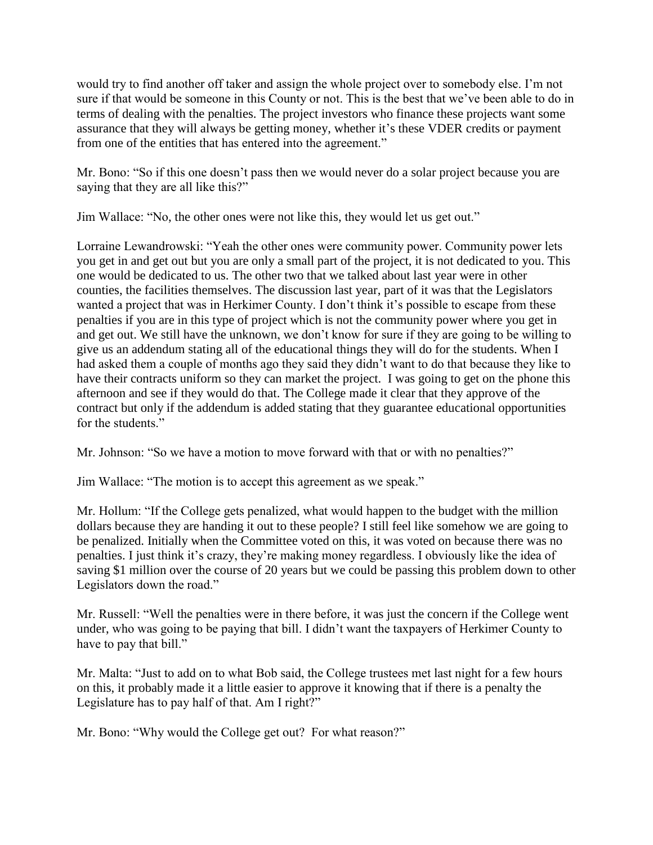would try to find another off taker and assign the whole project over to somebody else. I'm not sure if that would be someone in this County or not. This is the best that we've been able to do in terms of dealing with the penalties. The project investors who finance these projects want some assurance that they will always be getting money, whether it's these VDER credits or payment from one of the entities that has entered into the agreement."

Mr. Bono: "So if this one doesn't pass then we would never do a solar project because you are saying that they are all like this?"

Jim Wallace: "No, the other ones were not like this, they would let us get out."

Lorraine Lewandrowski: "Yeah the other ones were community power. Community power lets you get in and get out but you are only a small part of the project, it is not dedicated to you. This one would be dedicated to us. The other two that we talked about last year were in other counties, the facilities themselves. The discussion last year, part of it was that the Legislators wanted a project that was in Herkimer County. I don't think it's possible to escape from these penalties if you are in this type of project which is not the community power where you get in and get out. We still have the unknown, we don't know for sure if they are going to be willing to give us an addendum stating all of the educational things they will do for the students. When I had asked them a couple of months ago they said they didn't want to do that because they like to have their contracts uniform so they can market the project. I was going to get on the phone this afternoon and see if they would do that. The College made it clear that they approve of the contract but only if the addendum is added stating that they guarantee educational opportunities for the students."

Mr. Johnson: "So we have a motion to move forward with that or with no penalties?"

Jim Wallace: "The motion is to accept this agreement as we speak."

Mr. Hollum: "If the College gets penalized, what would happen to the budget with the million dollars because they are handing it out to these people? I still feel like somehow we are going to be penalized. Initially when the Committee voted on this, it was voted on because there was no penalties. I just think it's crazy, they're making money regardless. I obviously like the idea of saving \$1 million over the course of 20 years but we could be passing this problem down to other Legislators down the road."

Mr. Russell: "Well the penalties were in there before, it was just the concern if the College went under, who was going to be paying that bill. I didn't want the taxpayers of Herkimer County to have to pay that bill."

Mr. Malta: "Just to add on to what Bob said, the College trustees met last night for a few hours on this, it probably made it a little easier to approve it knowing that if there is a penalty the Legislature has to pay half of that. Am I right?"

Mr. Bono: "Why would the College get out? For what reason?"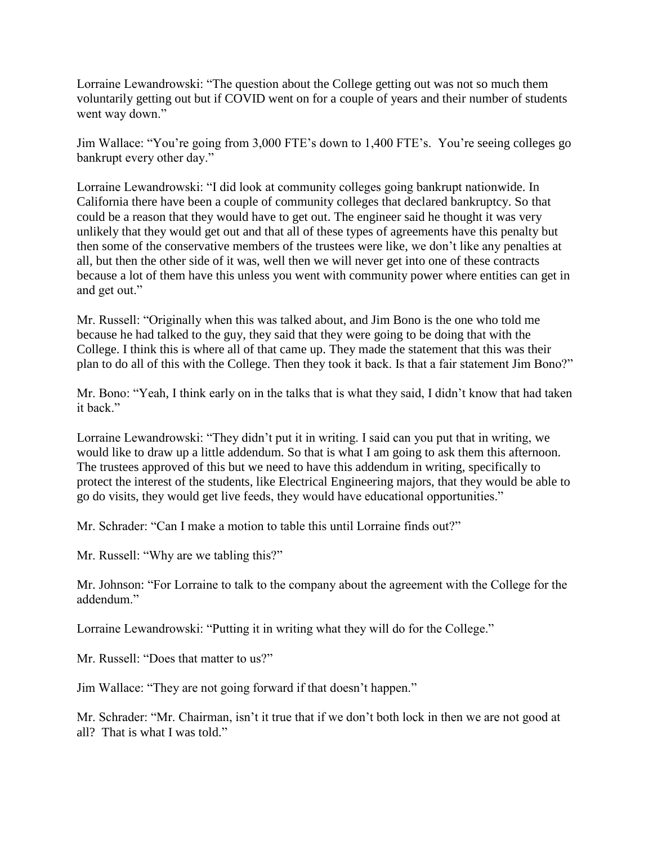Lorraine Lewandrowski: "The question about the College getting out was not so much them voluntarily getting out but if COVID went on for a couple of years and their number of students went way down."

Jim Wallace: "You're going from 3,000 FTE's down to 1,400 FTE's. You're seeing colleges go bankrupt every other day."

Lorraine Lewandrowski: "I did look at community colleges going bankrupt nationwide. In California there have been a couple of community colleges that declared bankruptcy. So that could be a reason that they would have to get out. The engineer said he thought it was very unlikely that they would get out and that all of these types of agreements have this penalty but then some of the conservative members of the trustees were like, we don't like any penalties at all, but then the other side of it was, well then we will never get into one of these contracts because a lot of them have this unless you went with community power where entities can get in and get out."

Mr. Russell: "Originally when this was talked about, and Jim Bono is the one who told me because he had talked to the guy, they said that they were going to be doing that with the College. I think this is where all of that came up. They made the statement that this was their plan to do all of this with the College. Then they took it back. Is that a fair statement Jim Bono?"

Mr. Bono: "Yeah, I think early on in the talks that is what they said, I didn't know that had taken it back."

Lorraine Lewandrowski: "They didn't put it in writing. I said can you put that in writing, we would like to draw up a little addendum. So that is what I am going to ask them this afternoon. The trustees approved of this but we need to have this addendum in writing, specifically to protect the interest of the students, like Electrical Engineering majors, that they would be able to go do visits, they would get live feeds, they would have educational opportunities."

Mr. Schrader: "Can I make a motion to table this until Lorraine finds out?"

Mr. Russell: "Why are we tabling this?"

Mr. Johnson: "For Lorraine to talk to the company about the agreement with the College for the addendum."

Lorraine Lewandrowski: "Putting it in writing what they will do for the College."

Mr. Russell: "Does that matter to us?"

Jim Wallace: "They are not going forward if that doesn't happen."

Mr. Schrader: "Mr. Chairman, isn't it true that if we don't both lock in then we are not good at all? That is what I was told."